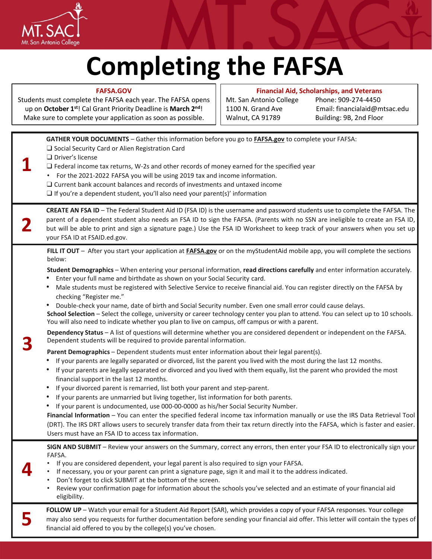

**FAFSA.GOV**

## **Completing the FAFSA**

**Financial Aid, Scholarships, and Veterans** 

| Students must complete the FAFSA each year. The FAFSA opens<br>up on October 1st! Cal Grant Priority Deadline is March 2nd!<br>Make sure to complete your application as soon as possible. |                                                                                                                                                                                                                                                                                                                                                                                                                                                                                                                                                                                                                                                                                                                                                                                                                                                                                                                                                                                                                                                                                                                                                                                                                                                                                                                                                                                                                                                                                                                                                                                                                                                                                                                                                                                                                                                                                                                                                                                                                                                                                                | Mt. San Antonio College<br>1100 N. Grand Ave<br>Walnut, CA 91789 | Phone: 909-274-4450<br>Email: financialaid@mtsac.edu<br>Building: 9B, 2nd Floor |  |
|--------------------------------------------------------------------------------------------------------------------------------------------------------------------------------------------|------------------------------------------------------------------------------------------------------------------------------------------------------------------------------------------------------------------------------------------------------------------------------------------------------------------------------------------------------------------------------------------------------------------------------------------------------------------------------------------------------------------------------------------------------------------------------------------------------------------------------------------------------------------------------------------------------------------------------------------------------------------------------------------------------------------------------------------------------------------------------------------------------------------------------------------------------------------------------------------------------------------------------------------------------------------------------------------------------------------------------------------------------------------------------------------------------------------------------------------------------------------------------------------------------------------------------------------------------------------------------------------------------------------------------------------------------------------------------------------------------------------------------------------------------------------------------------------------------------------------------------------------------------------------------------------------------------------------------------------------------------------------------------------------------------------------------------------------------------------------------------------------------------------------------------------------------------------------------------------------------------------------------------------------------------------------------------------------|------------------------------------------------------------------|---------------------------------------------------------------------------------|--|
|                                                                                                                                                                                            | GATHER YOUR DOCUMENTS - Gather this information before you go to FAFSA.gov to complete your FAFSA:<br>□ Social Security Card or Alien Registration Card<br>$\Box$ Driver's license<br>$\Box$ Federal income tax returns, W-2s and other records of money earned for the specified year<br>• For the 2021-2022 FAFSA you will be using 2019 tax and income information.<br>$\Box$ Current bank account balances and records of investments and untaxed income<br>$\Box$ If you're a dependent student, you'll also need your parent(s)' information                                                                                                                                                                                                                                                                                                                                                                                                                                                                                                                                                                                                                                                                                                                                                                                                                                                                                                                                                                                                                                                                                                                                                                                                                                                                                                                                                                                                                                                                                                                                             |                                                                  |                                                                                 |  |
|                                                                                                                                                                                            | CREATE AN FSA ID - The Federal Student Aid ID (FSA ID) is the username and password students use to complete the FAFSA. The<br>parent of a dependent student also needs an FSA ID to sign the FAFSA. (Parents with no SSN are ineligible to create an FSA ID,<br>but will be able to print and sign a signature page.) Use the FSA ID Worksheet to keep track of your answers when you set up<br>your FSA ID at FSAID.ed.gov.                                                                                                                                                                                                                                                                                                                                                                                                                                                                                                                                                                                                                                                                                                                                                                                                                                                                                                                                                                                                                                                                                                                                                                                                                                                                                                                                                                                                                                                                                                                                                                                                                                                                  |                                                                  |                                                                                 |  |
|                                                                                                                                                                                            | FILL IT OUT - After you start your application at FAFSA.gov or on the myStudentAid mobile app, you will complete the sections<br>below:<br>Student Demographics - When entering your personal information, read directions carefully and enter information accurately.<br>Enter your full name and birthdate as shown on your Social Security card.<br>Male students must be registered with Selective Service to receive financial aid. You can register directly on the FAFSA by<br>٠<br>checking "Register me."<br>Double-check your name, date of birth and Social Security number. Even one small error could cause delays.<br>٠<br>School Selection - Select the college, university or career technology center you plan to attend. You can select up to 10 schools.<br>You will also need to indicate whether you plan to live on campus, off campus or with a parent.<br>Dependency Status - A list of questions will determine whether you are considered dependent or independent on the FAFSA.<br>Dependent students will be required to provide parental information.<br>Parent Demographics - Dependent students must enter information about their legal parent(s).<br>If your parents are legally separated or divorced, list the parent you lived with the most during the last 12 months.<br>If your parents are legally separated or divorced and you lived with them equally, list the parent who provided the most<br>٠<br>financial support in the last 12 months.<br>If your divorced parent is remarried, list both your parent and step-parent.<br>٠<br>If your parents are unmarried but living together, list information for both parents.<br>If your parent is undocumented, use 000-00-0000 as his/her Social Security Number.<br>Financial Information - You can enter the specified federal income tax information manually or use the IRS Data Retrieval Tool<br>(DRT). The IRS DRT allows users to securely transfer data from their tax return directly into the FAFSA, which is faster and easier.<br>Users must have an FSA ID to access tax information. |                                                                  |                                                                                 |  |
|                                                                                                                                                                                            | SIGN AND SUBMIT - Review your answers on the Summary, correct any errors, then enter your FSA ID to electronically sign your<br>FAFSA.<br>If you are considered dependent, your legal parent is also required to sign your FAFSA.<br>If necessary, you or your parent can print a signature page, sign it and mail it to the address indicated.<br>Don't forget to click SUBMIT at the bottom of the screen.<br>Review your confirmation page for information about the schools you've selected and an estimate of your financial aid<br>eligibility.                                                                                                                                                                                                                                                                                                                                                                                                                                                                                                                                                                                                                                                                                                                                                                                                                                                                                                                                                                                                                                                                                                                                                                                                                                                                                                                                                                                                                                                                                                                                          |                                                                  |                                                                                 |  |
|                                                                                                                                                                                            | FOLLOW UP - Watch your email for a Student Aid Report (SAR), which provides a copy of your FAFSA responses. Your college<br>may also send you requests for further documentation before sending your financial aid offer. This letter will contain the types of<br>financial aid offered to you by the college(s) you've chosen.                                                                                                                                                                                                                                                                                                                                                                                                                                                                                                                                                                                                                                                                                                                                                                                                                                                                                                                                                                                                                                                                                                                                                                                                                                                                                                                                                                                                                                                                                                                                                                                                                                                                                                                                                               |                                                                  |                                                                                 |  |